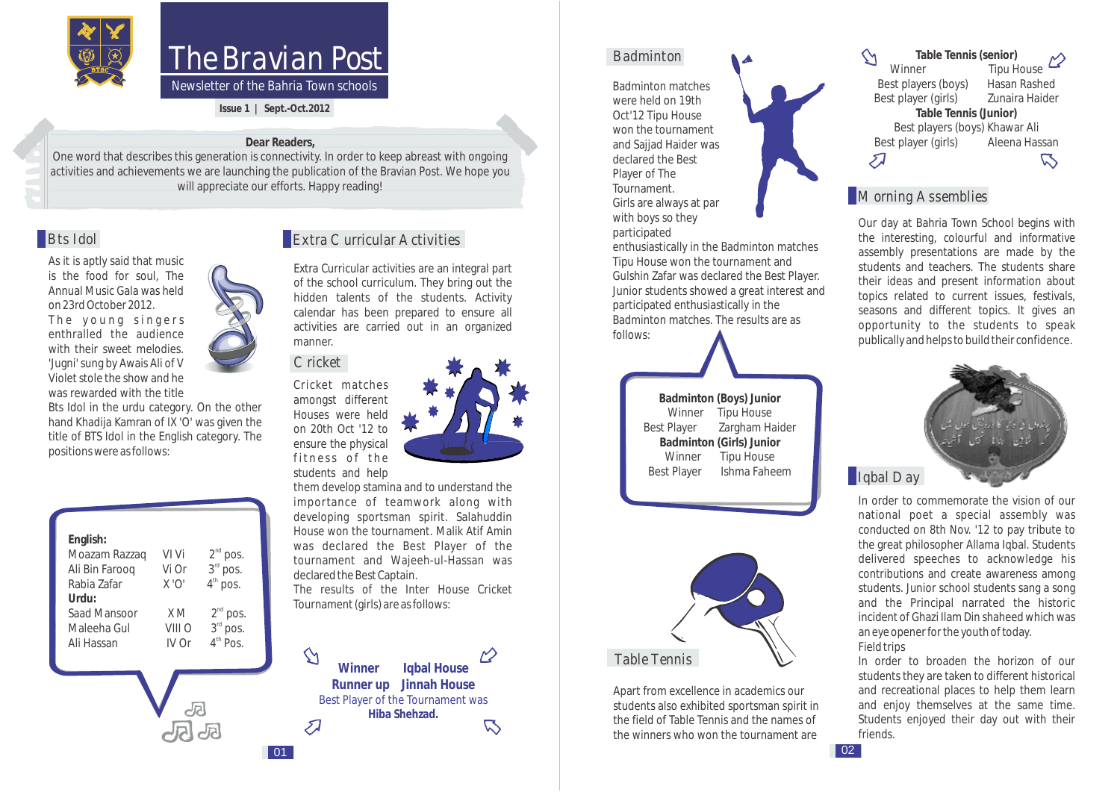

# The Bravian Post

*Newsletter of the Bahria Town schools*

**Issue 1 | Sept.-Oct.2012** 

#### **Dear Readers,**

One word that describes this generation is connectivity. In order to keep abreast with ongoing activities and achievements we are launching the publication of the Bravian Post. We hope you will appreciate our efforts. Happy reading!

As it is aptly said that music is the food for soul, The Annual Music Gala was held on 23rd October 2012.

The young singers enthralled the audience with their sweet melodies. 'Jugni' sung by Awais Ali of V Violet stole the show and he was rewarded with the title

Bts Idol in the urdu category. On the other hand Khadija Kamran of IX 'O' was given the title of BTS Idol in the English category. The positions were as follows:

| English:<br>Moazam Razzaq | VI Vi       |                                 |
|---------------------------|-------------|---------------------------------|
| Ali Bin Faroog            | Vi Or       | $2nd$ pos.<br>$3rd$ pos.        |
| Rabia Zafar               | $X \cdot O$ | $4^{\text{th}}$<br>pos.         |
| Urdu:                     |             |                                 |
| Saad Mansoor              | X M         | $2nd$ pos.                      |
| Maleeha Gul               | VIII O      | 3rd pos.                        |
| Ali Hassan                | IV Or       | 4 <sup>th</sup> P <sub>OS</sub> |
|                           |             |                                 |
|                           |             |                                 |
|                           |             |                                 |

**J** 



Extra Curricular activities are an integral part of the school curriculum. They bring out the hidden talents of the students. Activity calendar has been prepared to ensure all activities are carried out in an organized manner.

#### **Cricket**

 $|01\rangle$ 

Cricket matches amongst different Houses were held on 20th Oct '12 to ensure the physical fitness of the students and help



them develop stamina and to understand the importance of teamwork along with developing sportsman spirit. Salahuddin House won the tournament. Malik Atif Amin was declared the Best Player of the tournament and Wajeeh-ul-Hassan was declared the Best Captain.

The results of the Inter House Cricket Tournament (girls) are as follows:

 $\gamma$ **Winner Iqbal House Runner up Jinnah House** Best Player of the Tournament was **Hiba Shehzad.**  $\mathbb{Z}$ 

#### Badminton

Badminton matches were held on 19th Oct'12 Tipu House won the tournament and Saijad Haider was declared the Best Player of The Tournament. Girls are always at par with boys so they participated

enthusiastically in the Badminton matches Tipu House won the tournament and Gulshin Zafar was declared the Best Player. Junior students showed a great interest and participated enthusiastically in the Badminton matches. The results are as follows:

> **Badminton (Boys) Junior** Winner Tipu House Best Player Zargham Haider **Badminton (Girls) Junior** Winner Tipu House Best Player Ishma Faheem



Apart from excellence in academics our students also exhibited sportsman spirit in the field of Table Tennis and the names of the winners who won the tournament are

 $\gamma$ **Table Tennis (senior)** Tipu House Best players (boys) Hasan Rashed<br>Best player (girls) Zunaira Haider Best player (girls) **Table Tennis (Junior)** Best players (boys) Khawar Ali<br>It player (girls) Aleena Hassan Best player (girls)  $\mathcal{L}$  $\triangledown$ 

#### **Morning Assemblies**

Our day at Bahria Town School begins with the interesting, colourful and informative assembly presentations are made by the students and teachers. The students share their ideas and present information about topics related to current issues, festivals, seasons and different topics. It gives an opportunity to the students to speak publically and helps to build their confidence.



#### **I**lgbal Day

In order to commemorate the vision of our national poet a special assembly was conducted on 8th Nov. '12 to pay tribute to the great philosopher Allama Iqbal. Students delivered speeches to acknowledge his contributions and create awareness among students. Junior school students sang a song and the Principal narrated the historic incident of Ghazi Ilam Din shaheed which was an eye opener for the youth of today. **Field trips** 

In order to broaden the horizon of our students they are taken to different historical and recreational places to help them learn and enjoy themselves at the same time. Students enjoyed their day out with their friends.